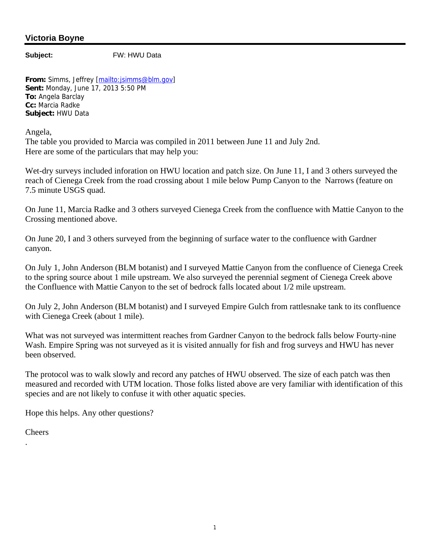## **Victoria Boyne**

**Subject:** FW: HWU Data

**From:** Simms, Jeffrey [mailto:jsimms@blm.gov] **Sent:** Monday, June 17, 2013 5:50 PM **To:** Angela Barclay **Cc:** Marcia Radke **Subject:** HWU Data

Angela,

The table you provided to Marcia was compiled in 2011 between June 11 and July 2nd. Here are some of the particulars that may help you:

Wet-dry surveys included inforation on HWU location and patch size. On June 11, I and 3 others surveyed the reach of Cienega Creek from the road crossing about 1 mile below Pump Canyon to the Narrows (feature on 7.5 minute USGS quad.

On June 11, Marcia Radke and 3 others surveyed Cienega Creek from the confluence with Mattie Canyon to the Crossing mentioned above.

On June 20, I and 3 others surveyed from the beginning of surface water to the confluence with Gardner canyon.

On July 1, John Anderson (BLM botanist) and I surveyed Mattie Canyon from the confluence of Cienega Creek to the spring source about 1 mile upstream. We also surveyed the perennial segment of Cienega Creek above the Confluence with Mattie Canyon to the set of bedrock falls located about 1/2 mile upstream.

On July 2, John Anderson (BLM botanist) and I surveyed Empire Gulch from rattlesnake tank to its confluence with Cienega Creek (about 1 mile).

What was not surveyed was intermittent reaches from Gardner Canyon to the bedrock falls below Fourty-nine Wash. Empire Spring was not surveyed as it is visited annually for fish and frog surveys and HWU has never been observed.

The protocol was to walk slowly and record any patches of HWU observed. The size of each patch was then measured and recorded with UTM location. Those folks listed above are very familiar with identification of this species and are not likely to confuse it with other aquatic species.

Hope this helps. Any other questions?

**Cheers** 

.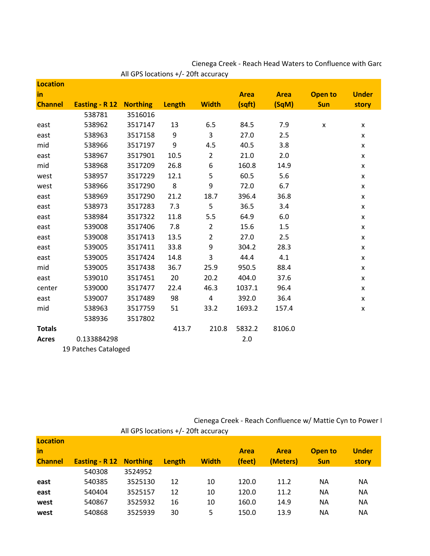| <b>Location</b> |                                |         |        |                  |             |             |                |              |
|-----------------|--------------------------------|---------|--------|------------------|-------------|-------------|----------------|--------------|
| in              |                                |         |        |                  | <b>Area</b> | <b>Area</b> | <b>Open to</b> | <b>Under</b> |
| <b>Channel</b>  | <b>Easting - R 12 Northing</b> |         | Length | <b>Width</b>     | (sqft)      | (SqM)       | <b>Sun</b>     | story        |
|                 | 538781                         | 3516016 |        |                  |             |             |                |              |
| east            | 538962                         | 3517147 | 13     | 6.5              | 84.5        | 7.9         | X              | X            |
| east            | 538963                         | 3517158 | 9      | 3                | 27.0        | 2.5         |                | X            |
| mid             | 538966                         | 3517197 | 9      | 4.5              | 40.5        | 3.8         |                | X            |
| east            | 538967                         | 3517901 | 10.5   | $\overline{2}$   | 21.0        | 2.0         |                | X            |
| mid             | 538968                         | 3517209 | 26.8   | 6                | 160.8       | 14.9        |                | X            |
| west            | 538957                         | 3517229 | 12.1   | 5                | 60.5        | 5.6         |                | X            |
| west            | 538966                         | 3517290 | 8      | 9                | 72.0        | 6.7         |                | X            |
| east            | 538969                         | 3517290 | 21.2   | 18.7             | 396.4       | 36.8        |                | X            |
| east            | 538973                         | 3517283 | 7.3    | 5                | 36.5        | 3.4         |                | X            |
| east            | 538984                         | 3517322 | 11.8   | 5.5              | 64.9        | 6.0         |                | X            |
| east            | 539008                         | 3517406 | 7.8    | $\overline{2}$   | 15.6        | 1.5         |                | X            |
| east            | 539008                         | 3517413 | 13.5   | $\overline{2}$   | 27.0        | 2.5         |                | X            |
| east            | 539005                         | 3517411 | 33.8   | $\boldsymbol{9}$ | 304.2       | 28.3        |                | X            |
| east            | 539005                         | 3517424 | 14.8   | 3                | 44.4        | 4.1         |                | X            |
| mid             | 539005                         | 3517438 | 36.7   | 25.9             | 950.5       | 88.4        |                | X            |
| east            | 539010                         | 3517451 | 20     | 20.2             | 404.0       | 37.6        |                | X            |
| center          | 539000                         | 3517477 | 22.4   | 46.3             | 1037.1      | 96.4        |                | X            |
| east            | 539007                         | 3517489 | 98     | $\overline{4}$   | 392.0       | 36.4        |                | X            |
| mid             | 538963                         | 3517759 | 51     | 33.2             | 1693.2      | 157.4       |                | X            |
|                 | 538936                         | 3517802 |        |                  |             |             |                |              |
| <b>Totals</b>   |                                |         | 413.7  | 210.8            | 5832.2      | 8106.0      |                |              |
| <b>Acres</b>    | 0.133884298                    |         |        |                  | 2.0         |             |                |              |
|                 | 19 Patches Cataloged           |         |        |                  |             |             |                |              |

All GPS locations +/- 20ft accuracy Cienega Creek - Reach Head Waters to Confluence with Garc

Cienega Creek - Reach Confluence w/ Mattie Cyn to Power I

| All GPS locations +/- 20ft accuracy |                |                            |        |              |                       |                         |                       |              |
|-------------------------------------|----------------|----------------------------|--------|--------------|-----------------------|-------------------------|-----------------------|--------------|
| Location<br>in<br><b>Channel</b>    | Easting - R 12 |                            |        | <b>Width</b> | <b>Area</b><br>(feet) | <b>Area</b><br>(Meters) | Open to<br><b>Sun</b> | <b>Under</b> |
|                                     | 540308         | <b>Northing</b><br>3524952 | Length |              |                       |                         |                       | story        |
|                                     |                |                            |        |              |                       |                         |                       |              |
| east                                | 540385         | 3525130                    | 12     | 10           | 120.0                 | 11.2                    | NА                    | <b>NA</b>    |
| east                                | 540404         | 3525157                    | 12     | 10           | 120.0                 | 11.2                    | ΝA                    | <b>NA</b>    |
| west                                | 540867         | 3525932                    | 16     | 10           | 160.0                 | 14.9                    | ΝA                    | <b>NA</b>    |
| west                                | 540868         | 3525939                    | 30     | 5            | 150.0                 | 13.9                    | NА                    | ΝA           |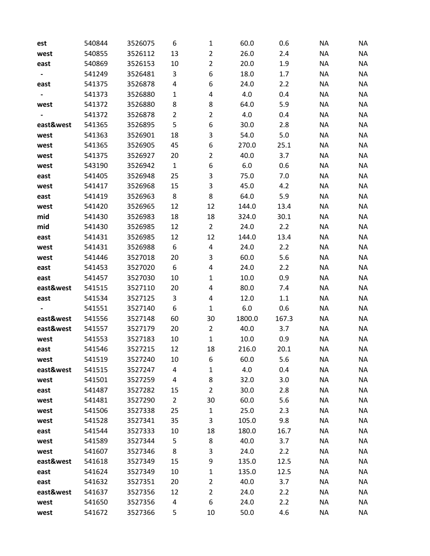| est       | 540844 | 3526075 | 6              | $\mathbf{1}$   | 60.0    | 0.6   | <b>NA</b> | <b>NA</b> |
|-----------|--------|---------|----------------|----------------|---------|-------|-----------|-----------|
| west      | 540855 | 3526112 | 13             | $\overline{2}$ | 26.0    | 2.4   | <b>NA</b> | <b>NA</b> |
| east      | 540869 | 3526153 | 10             | $\overline{2}$ | 20.0    | 1.9   | <b>NA</b> | <b>NA</b> |
|           | 541249 | 3526481 | 3              | 6              | 18.0    | 1.7   | <b>NA</b> | <b>NA</b> |
| east      | 541375 | 3526878 | 4              | 6              | 24.0    | 2.2   | <b>NA</b> | <b>NA</b> |
|           | 541373 | 3526880 | $\mathbf{1}$   | 4              | 4.0     | 0.4   | <b>NA</b> | <b>NA</b> |
| west      | 541372 | 3526880 | 8              | 8              | 64.0    | 5.9   | <b>NA</b> | <b>NA</b> |
|           | 541372 | 3526878 | $\overline{2}$ | $\overline{2}$ | 4.0     | 0.4   | <b>NA</b> | <b>NA</b> |
| east&west | 541365 | 3526895 | 5              | 6              | 30.0    | 2.8   | <b>NA</b> | <b>NA</b> |
| west      | 541363 | 3526901 | 18             | 3              | 54.0    | 5.0   | <b>NA</b> | <b>NA</b> |
| west      | 541365 | 3526905 | 45             | 6              | 270.0   | 25.1  | <b>NA</b> | <b>NA</b> |
| west      | 541375 | 3526927 | 20             | $\overline{2}$ | 40.0    | 3.7   | <b>NA</b> | <b>NA</b> |
| west      | 543190 | 3526942 | $\mathbf{1}$   | 6              | $6.0\,$ | 0.6   | <b>NA</b> | <b>NA</b> |
| east      | 541405 | 3526948 | 25             | 3              | 75.0    | 7.0   | <b>NA</b> | <b>NA</b> |
| west      | 541417 | 3526968 | 15             | 3              | 45.0    | 4.2   | <b>NA</b> | <b>NA</b> |
| east      | 541419 | 3526963 | 8              | 8              | 64.0    | 5.9   | <b>NA</b> | <b>NA</b> |
| west      | 541420 | 3526965 | 12             | 12             | 144.0   | 13.4  | <b>NA</b> | <b>NA</b> |
| mid       | 541430 | 3526983 | 18             | 18             | 324.0   | 30.1  | <b>NA</b> | <b>NA</b> |
| mid       | 541430 | 3526985 | 12             | $\overline{2}$ | 24.0    | 2.2   | <b>NA</b> | <b>NA</b> |
| east      | 541431 | 3526985 | 12             | 12             | 144.0   | 13.4  | <b>NA</b> | <b>NA</b> |
| west      | 541431 | 3526988 | 6              | 4              | 24.0    | 2.2   | <b>NA</b> | <b>NA</b> |
| west      | 541446 | 3527018 | 20             | 3              | 60.0    | 5.6   | <b>NA</b> | <b>NA</b> |
| east      | 541453 | 3527020 | 6              | 4              | 24.0    | 2.2   | <b>NA</b> | <b>NA</b> |
| east      | 541457 | 3527030 | 10             | $\mathbf 1$    | 10.0    | 0.9   | <b>NA</b> | <b>NA</b> |
| east&west | 541515 | 3527110 | 20             | 4              | 80.0    | 7.4   | <b>NA</b> | <b>NA</b> |
| east      | 541534 | 3527125 | 3              | 4              | 12.0    | 1.1   | <b>NA</b> | <b>NA</b> |
|           | 541551 | 3527140 | 6              | $\mathbf{1}$   | 6.0     | 0.6   | <b>NA</b> | <b>NA</b> |
| east&west | 541556 | 3527148 | 60             | 30             | 1800.0  | 167.3 | <b>NA</b> | <b>NA</b> |
| east&west | 541557 | 3527179 | 20             | $\overline{2}$ | 40.0    | 3.7   | <b>NA</b> | <b>NA</b> |
| west      | 541553 | 3527183 | 10             | $\mathbf{1}$   | 10.0    | 0.9   | <b>NA</b> | <b>NA</b> |
| east      | 541546 | 3527215 | 12             | 18             | 216.0   | 20.1  | <b>NA</b> | <b>NA</b> |
| west      | 541519 | 3527240 | 10             | 6              | 60.0    | 5.6   | NA        | <b>NA</b> |
| east&west | 541515 | 3527247 | 4              | 1              | 4.0     | 0.4   | <b>NA</b> | <b>NA</b> |
| west      | 541501 | 3527259 | 4              | 8              | 32.0    | 3.0   | <b>NA</b> | <b>NA</b> |
| east      | 541487 | 3527282 | 15             | $\overline{2}$ | 30.0    | 2.8   | <b>NA</b> | <b>NA</b> |
| west      | 541481 | 3527290 | $\overline{2}$ | 30             | 60.0    | 5.6   | <b>NA</b> | <b>NA</b> |
| west      | 541506 | 3527338 | 25             | $\mathbf{1}$   | 25.0    | 2.3   | <b>NA</b> | <b>NA</b> |
| west      | 541528 | 3527341 | 35             | 3              | 105.0   | 9.8   | <b>NA</b> | <b>NA</b> |
| east      | 541544 | 3527333 | 10             | 18             | 180.0   | 16.7  | <b>NA</b> | NA        |
| west      | 541589 | 3527344 | 5              | 8              | 40.0    | 3.7   | <b>NA</b> | <b>NA</b> |
| west      | 541607 | 3527346 | 8              | 3              | 24.0    | 2.2   | <b>NA</b> | <b>NA</b> |
| east&west | 541618 | 3527349 | 15             | 9              | 135.0   | 12.5  | <b>NA</b> | NA        |
| east      | 541624 | 3527349 | 10             | 1              | 135.0   | 12.5  | <b>NA</b> | <b>NA</b> |
| east      | 541632 | 3527351 | 20             | $\overline{2}$ | 40.0    | 3.7   | <b>NA</b> | <b>NA</b> |
| east&west | 541637 | 3527356 | 12             | $\overline{2}$ | 24.0    | 2.2   | <b>NA</b> | <b>NA</b> |
| west      | 541650 | 3527356 | 4              | 6              | 24.0    | 2.2   | <b>NA</b> | <b>NA</b> |
| west      | 541672 | 3527366 | 5              | 10             | 50.0    | 4.6   | <b>NA</b> | <b>NA</b> |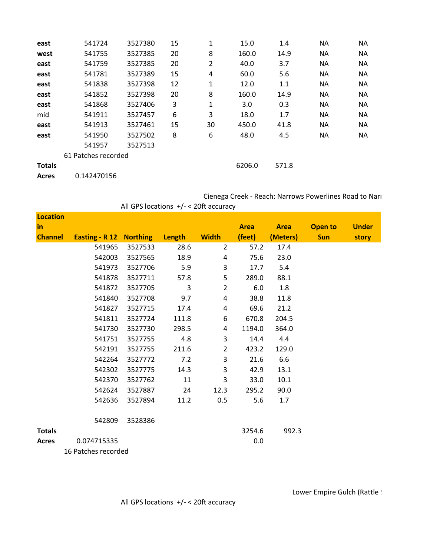| east          | 541724              | 3527380 | 15 | 1  | 15.0   | 1.4   | <b>NA</b> | NA        |
|---------------|---------------------|---------|----|----|--------|-------|-----------|-----------|
| west          | 541755              | 3527385 | 20 | 8  | 160.0  | 14.9  | <b>NA</b> | <b>NA</b> |
| east          | 541759              | 3527385 | 20 | 2  | 40.0   | 3.7   | <b>NA</b> | <b>NA</b> |
| east          | 541781              | 3527389 | 15 | 4  | 60.0   | 5.6   | <b>NA</b> | <b>NA</b> |
| east          | 541838              | 3527398 | 12 | 1  | 12.0   | 1.1   | <b>NA</b> | ΝA        |
| east          | 541852              | 3527398 | 20 | 8  | 160.0  | 14.9  | NA        | <b>NA</b> |
| east          | 541868              | 3527406 | 3  | 1  | 3.0    | 0.3   | <b>NA</b> | ΝA        |
| mid           | 541911              | 3527457 | 6  | 3  | 18.0   | 1.7   | NA        | <b>NA</b> |
| east          | 541913              | 3527461 | 15 | 30 | 450.0  | 41.8  | <b>NA</b> | <b>NA</b> |
| east          | 541950              | 3527502 | 8  | 6  | 48.0   | 4.5   | <b>NA</b> | <b>NA</b> |
|               | 541957              | 3527513 |    |    |        |       |           |           |
|               | 61 Patches recorded |         |    |    |        |       |           |           |
| <b>Totals</b> |                     |         |    |    | 6206.0 | 571.8 |           |           |
| <b>Acres</b>  | 0.142470156         |         |    |    |        |       |           |           |

| Cienega Creek - Reach: Narrows Powerlines Road to Nari |  |
|--------------------------------------------------------|--|
| All GPS locations $+/- < 20$ ft accuracy               |  |
|                                                        |  |

| <b>Location</b> |                                |         |        |                |             |             |                |              |
|-----------------|--------------------------------|---------|--------|----------------|-------------|-------------|----------------|--------------|
| <u>in</u>       |                                |         |        |                | <b>Area</b> | <b>Area</b> | <b>Open to</b> | <b>Under</b> |
| <b>Channel</b>  | <b>Easting - R 12 Northing</b> |         | Length | <b>Width</b>   | (feet)      | (Meters)    | <b>Sun</b>     | story        |
|                 | 541965                         | 3527533 | 28.6   | $\overline{2}$ | 57.2        | 17.4        |                |              |
|                 | 542003                         | 3527565 | 18.9   | 4              | 75.6        | 23.0        |                |              |
|                 | 541973                         | 3527706 | 5.9    | 3              | 17.7        | 5.4         |                |              |
|                 | 541878                         | 3527711 | 57.8   | 5              | 289.0       | 88.1        |                |              |
|                 | 541872                         | 3527705 | 3      | $\overline{2}$ | 6.0         | 1.8         |                |              |
|                 | 541840                         | 3527708 | 9.7    | $\overline{a}$ | 38.8        | 11.8        |                |              |
|                 | 541827                         | 3527715 | 17.4   | 4              | 69.6        | 21.2        |                |              |
|                 | 541811                         | 3527724 | 111.8  | 6              | 670.8       | 204.5       |                |              |
|                 | 541730                         | 3527730 | 298.5  | 4              | 1194.0      | 364.0       |                |              |
|                 | 541751                         | 3527755 | 4.8    | 3              | 14.4        | 4.4         |                |              |
|                 | 542191                         | 3527755 | 211.6  | $\overline{2}$ | 423.2       | 129.0       |                |              |
|                 | 542264                         | 3527772 | 7.2    | 3              | 21.6        | 6.6         |                |              |
|                 | 542302                         | 3527775 | 14.3   | 3              | 42.9        | 13.1        |                |              |
|                 | 542370                         | 3527762 | 11     | 3              | 33.0        | 10.1        |                |              |
|                 | 542624                         | 3527887 | 24     | 12.3           | 295.2       | 90.0        |                |              |
|                 | 542636                         | 3527894 | 11.2   | 0.5            | 5.6         | 1.7         |                |              |
|                 | 542809                         | 3528386 |        |                |             |             |                |              |
| <b>Totals</b>   |                                |         |        |                | 3254.6      | 992.3       |                |              |
| <b>Acres</b>    | 0.074715335                    |         |        |                | 0.0         |             |                |              |

16 Patches recorded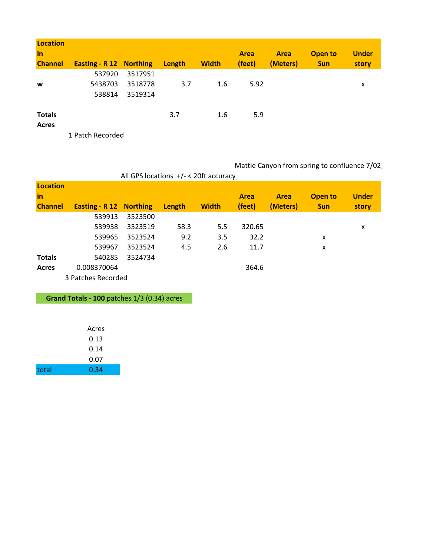| <b>Location</b><br>in |                                |         |        |              | <b>Area</b> | <b>Area</b> | Open to    | <b>Under</b> |
|-----------------------|--------------------------------|---------|--------|--------------|-------------|-------------|------------|--------------|
| <b>Channel</b>        | <b>Easting - R 12 Northing</b> |         | Length | <b>Width</b> | (feet)      | (Meters)    | <b>Sun</b> | story        |
|                       | 537920                         | 3517951 |        |              |             |             |            |              |
| W                     | 5438703                        | 3518778 | 3.7    | 1.6          | 5.92        |             |            | x            |
|                       | 538814                         | 3519314 |        |              |             |             |            |              |
| <b>Totals</b>         |                                |         | 3.7    | 1.6          | 5.9         |             |            |              |
| <b>Acres</b>          |                                |         |        |              |             |             |            |              |
|                       | 1 Datch Docordod               |         |        |              |             |             |            |              |

1 Patch Recorded

Mattie Canyon from spring to confluence 7/02

|                                         | All GPS locations $+/-$ < 20ft accuracy                                             |                                                     |                    |                   |                                 |                  |                              |                       |  |
|-----------------------------------------|-------------------------------------------------------------------------------------|-----------------------------------------------------|--------------------|-------------------|---------------------------------|------------------|------------------------------|-----------------------|--|
| <b>Location</b><br>in<br><b>Channel</b> | <b>Easting - R 12 Northing</b>                                                      |                                                     | Length             | <b>Width</b>      | Area<br>(feet)                  | Area<br>(Meters) | <b>Open to</b><br><b>Sun</b> | <b>Under</b><br>story |  |
| <b>Totals</b><br><b>Acres</b>           | 539913<br>539938<br>539965<br>539967<br>540285<br>0.008370064<br>3 Patches Recorded | 3523500<br>3523519<br>3523524<br>3523524<br>3524734 | 58.3<br>9.2<br>4.5 | 5.5<br>3.5<br>2.6 | 320.65<br>32.2<br>11.7<br>364.6 |                  | x<br>x                       | x                     |  |

**Grand Totals - 100** patches 1/3 (0.34) acres

|       | Acres |
|-------|-------|
|       | 0.13  |
|       | 0.14  |
|       | 0.07  |
| total | 0.34  |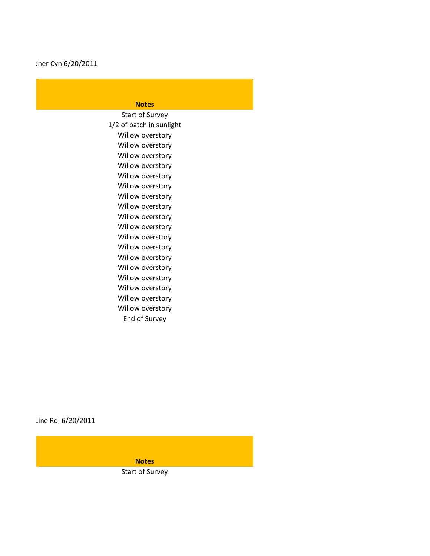## **Notes**

Willow overstory Willow overstory Willow overstory Willow overstory Willow overstory Willow overstory Willow overstory End of Survey Willow overstory Willow overstory 1/2 of patch in sunlight Start of Survey Willow overstory Willow overstory Willow overstory Willow overstory Willow overstory Willow overstory Willow overstory Willow overstory Willow overstory

Line Rd 6/20/2011

**Notes** Start of Survey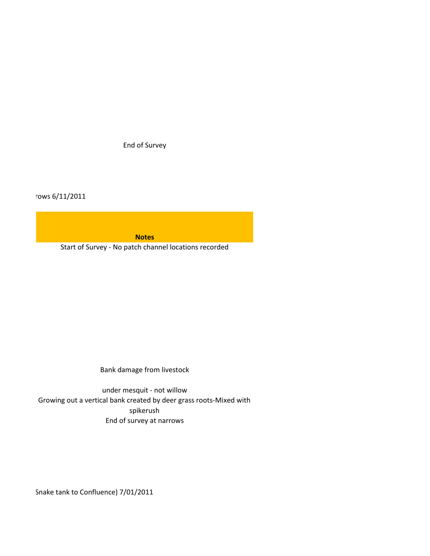End of Survey

rows 6/11/2011

**Notes**

Start of Survey - No patch channel locations recorded

Bank damage from livestock

End of survey at narrows under mesquit - not willow Growing out a vertical bank created by deer grass roots-Mixed with spikerush

Snake tank to Confluence) 7/01/2011